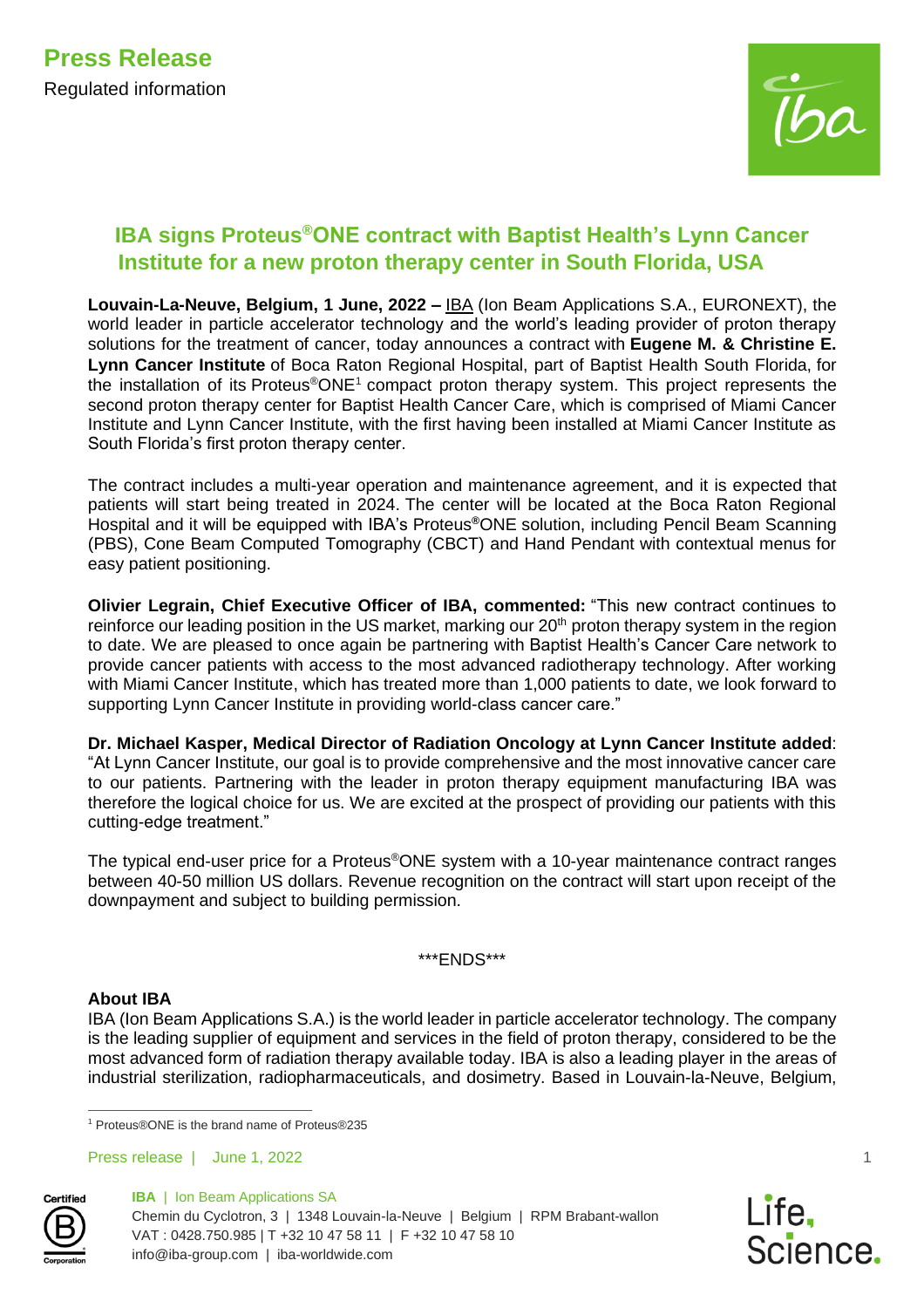

# **IBA signs Proteus®ONE contract with Baptist Health's Lynn Cancer Institute for a new proton therapy center in South Florida, USA**

**Louvain-La-Neuve, Belgium, 1 June, 2022 –** [IBA](https://nam10.safelinks.protection.outlook.com/?url=https%3A%2F%2Fiba-worldwide.com%2F&data=05%7C01%7CPapsyM%40baptisthealth.net%7C3797299bc8734dfd571408da3f62ade2%7C3783f79319c8492899c48d1861e6cc1f%7C0%7C0%7C637891990358885904%7CUnknown%7CTWFpbGZsb3d8eyJWIjoiMC4wLjAwMDAiLCJQIjoiV2luMzIiLCJBTiI6Ik1haWwiLCJXVCI6Mn0%3D%7C3000%7C%7C%7C&sdata=bkvd0R74ByW6nD83M0EQJt0FCrXk6Q9LEEXbSgiqxkI%3D&reserved=0) (Ion Beam Applications S.A., EURONEXT), the world leader in particle accelerator technology and the world's leading provider of proton therapy solutions for the treatment of cancer, today announces a contract with **Eugene M. & Christine E. Lynn Cancer Institute** of Boca Raton Regional Hospital, part of Baptist Health South Florida, for the installation of its Proteus®ONE<sup>1</sup> compact proton therapy system. This project represents the second proton therapy center for Baptist Health Cancer Care, which is comprised of Miami Cancer Institute and Lynn Cancer Institute, with the first having been installed at Miami Cancer Institute as South Florida's first proton therapy center.

The contract includes a multi-year operation and maintenance agreement, and it is expected that patients will start being treated in 2024. The center will be located at the Boca Raton Regional Hospital and it will be equipped with IBA's Proteus**®**ONE solution, including Pencil Beam Scanning (PBS), Cone Beam Computed Tomography (CBCT) and Hand Pendant with contextual menus for easy patient positioning.

**Olivier Legrain, Chief Executive Officer of IBA, commented:** "This new contract continues to reinforce our leading position in the US market, marking our 20<sup>th</sup> proton therapy system in the region to date. We are pleased to once again be partnering with Baptist Health's Cancer Care network to provide cancer patients with access to the most advanced radiotherapy technology. After working with Miami Cancer Institute, which has treated more than 1,000 patients to date, we look forward to supporting Lynn Cancer Institute in providing world-class cancer care."

**Dr. Michael Kasper, Medical Director of Radiation Oncology at Lynn Cancer Institute added**: "At Lynn Cancer Institute, our goal is to provide comprehensive and the most innovative cancer care to our patients. Partnering with the leader in proton therapy equipment manufacturing IBA was therefore the logical choice for us. We are excited at the prospect of providing our patients with this cutting-edge treatment."

The typical end-user price for a Proteus®ONE system with a 10-year maintenance contract ranges between 40-50 million US dollars. Revenue recognition on the contract will start upon receipt of the downpayment and subject to building permission.

\*\*\*ENDS\*\*\*

## **About IBA**

IBA (Ion Beam Applications S.A.) is the world leader in particle accelerator technology. The company is the leading supplier of equipment and services in the field of proton therapy, considered to be the most advanced form of radiation therapy available today. IBA is also a leading player in the areas of industrial sterilization, radiopharmaceuticals, and dosimetry. Based in Louvain-la-Neuve, Belgium,

**Certifie** 



1

<sup>1</sup> Proteus®ONE is the brand name of Proteus®235

Press release | June 1, 2022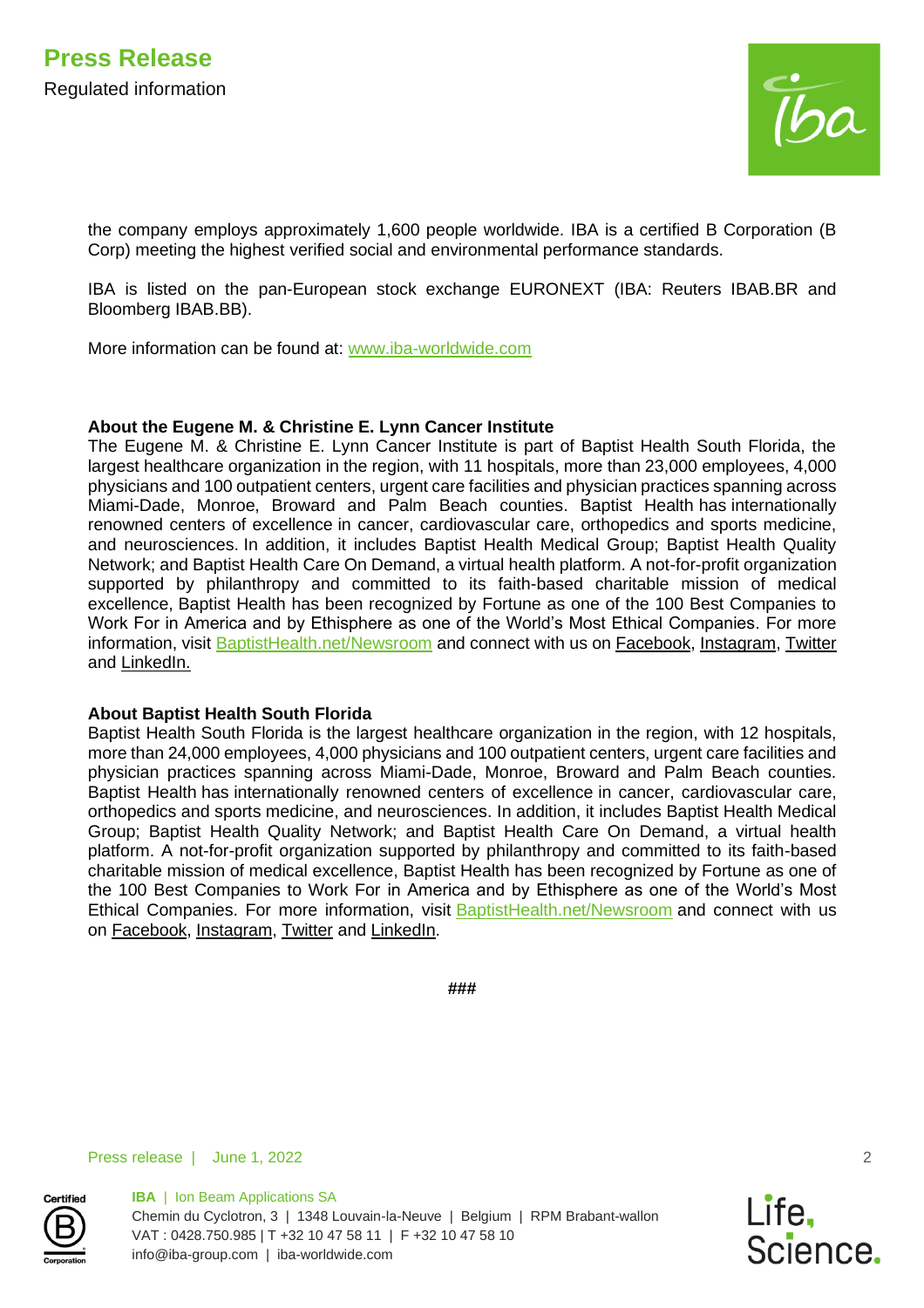

the company employs approximately 1,600 people worldwide. IBA is a certified B Corporation (B Corp) meeting the highest verified social and environmental performance standards.

IBA is listed on the pan-European stock exchange EURONEXT (IBA: Reuters IBAB.BR and Bloomberg IBAB.BB).

More information can be found at: [www.iba-worldwide.com](http://www.iba-worldwide.com/)

#### **About the Eugene M. & Christine E. Lynn Cancer Institute**

The Eugene M. & Christine E. Lynn Cancer Institute is part of Baptist Health South Florida, the largest healthcare organization in the region, with 11 hospitals, more than 23,000 employees, 4,000 physicians and 100 outpatient centers, urgent care facilities and physician practices spanning across Miami-Dade, Monroe, Broward and Palm Beach counties. Baptist Health has internationally renowned centers of excellence in cancer, cardiovascular care, orthopedics and sports medicine, and neurosciences. In addition, it includes Baptist Health Medical Group; Baptist Health Quality Network; and Baptist Health Care On Demand, a virtual health platform. A not-for-profit organization supported by philanthropy and committed to its faith-based charitable mission of medical excellence, Baptist Health has been recognized by Fortune as one of the 100 Best Companies to Work For in America and by Ethisphere as one of the World's Most Ethical Companies. For more information, visit [BaptistHealth.net/Newsroom](http://baptisthealth.net/newsroom) and connect with us on [Facebook,](https://www.facebook.com/BaptistHealthSF/) [Instagram,](https://www.instagram.com/baptisthealthsf/) [Twitter](https://twitter.com/baptisthealthsf) and [LinkedIn.](https://www.linkedin.com/company/baptist-health-south-florida-located-in-miami-florida/)

## **About Baptist Health South Florida**

Baptist Health South Florida is the largest healthcare organization in the region, with 12 hospitals, more than 24,000 employees, 4,000 physicians and 100 outpatient centers, urgent care facilities and physician practices spanning across Miami-Dade, Monroe, Broward and Palm Beach counties. Baptist Health has internationally renowned centers of excellence in cancer, cardiovascular care, orthopedics and sports medicine, and neurosciences. In addition, it includes Baptist Health Medical Group; Baptist Health Quality Network; and Baptist Health Care On Demand, a virtual health platform. A not-for-profit organization supported by philanthropy and committed to its faith-based charitable mission of medical excellence, Baptist Health has been recognized by Fortune as one of the 100 Best Companies to Work For in America and by Ethisphere as one of the World's Most Ethical Companies. For more information, visit [BaptistHealth.net/Newsroom](http://baptisthealth.net/newsroom) and connect with us on [Facebook,](https://www.facebook.com/BaptistHealthSF/) [Instagram,](https://www.instagram.com/baptisthealthsf/) [Twitter](https://twitter.com/baptisthealthsf) and [LinkedIn.](https://www.linkedin.com/company/baptist-health-south-florida-located-in-miami-florida/)

**###**

Press release | June 1, 2022



**IBA** | Ion Beam Applications SA Chemin du Cyclotron, 3 | 1348 Louvain-la-Neuve | Belgium | RPM Brabant-wallon VAT : 0428.750.985 | T +32 10 47 58 11 | F +32 10 47 58 10 info@iba-group.com | iba-worldwide.com